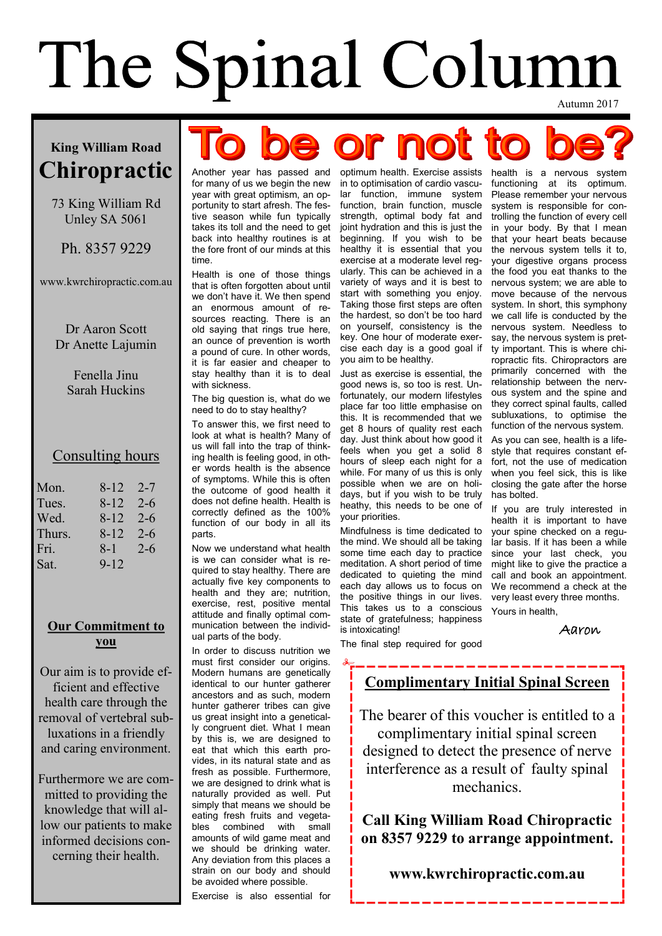# The Spinal Column

e or no

### **King William Road Chiropractic**

73 King William Rd Unley SA 5061

Ph. 8357 9229

www.kwrchiropractic.com.au

Dr Aaron Scott Dr Anette Lajumin

> Fenella Jinu Sarah Huckins

#### Consulting hours

| Mon.   | 8-12     | $2 - 7$ |
|--------|----------|---------|
| Tues.  | 8-12     | $2 - 6$ |
| Wed.   | 8-12     | $2 - 6$ |
| Thurs. | 8-12     | $2 - 6$ |
| Fri.   | 8-1      | $2 - 6$ |
| Sat.   | $9 - 12$ |         |

#### **Our Commitment to you**

Our aim is to provide efficient and effective health care through the removal of vertebral subluxations in a friendly and caring environment.

Furthermore we are committed to providing the knowledge that will allow our patients to make informed decisions concerning their health.

for many of us we begin the new year with great optimism, an opportunity to start afresh. The festive season while fun typically takes its toll and the need to get back into healthy routines is at the fore front of our minds at this time.

Health is one of those things that is often forgotten about until we don't have it. We then spend an enormous amount of resources reacting. There is an old saying that rings true here, an ounce of prevention is worth a pound of cure. In other words, it is far easier and cheaper to stay healthy than it is to deal with sickness.

The big question is, what do we need to do to stay healthy?

To answer this, we first need to look at what is health? Many of us will fall into the trap of thinking health is feeling good, in other words health is the absence of symptoms. While this is often the outcome of good health it does not define health. Health is correctly defined as the 100% function of our body in all its parts.

Now we understand what health is we can consider what is required to stay healthy. There are actually five key components to health and they are; nutrition, exercise, rest, positive mental attitude and finally optimal communication between the individual parts of the body.

In order to discuss nutrition we must first consider our origins. Modern humans are genetically identical to our hunter gatherer ancestors and as such, modern hunter gatherer tribes can give us great insight into a genetically congruent diet. What I mean by this is, we are designed to eat that which this earth provides, in its natural state and as fresh as possible. Furthermore, we are designed to drink what is naturally provided as well. Put simply that means we should be eating fresh fruits and vegetables combined with small amounts of wild game meat and we should be drinking water. Any deviation from this places a strain on our body and should be avoided where possible.

Exercise is also essential for

Another year has passed and optimum health. Exercise assists in to optimisation of cardio vascular function, immune system function, brain function, muscle strength, optimal body fat and joint hydration and this is just the beginning. If you wish to be healthy it is essential that you exercise at a moderate level regularly. This can be achieved in a variety of ways and it is best to start with something you enjoy. Taking those first steps are often the hardest, so don't be too hard on yourself, consistency is the key. One hour of moderate exercise each day is a good goal if you aim to be healthy.

> Just as exercise is essential, the good news is, so too is rest. Unfortunately, our modern lifestyles place far too little emphasise on this. It is recommended that we get 8 hours of quality rest each day. Just think about how good it feels when you get a solid 8 hours of sleep each night for a while. For many of us this is only possible when we are on holidays, but if you wish to be truly heathy, this needs to be one of your priorities.

> Mindfulness is time dedicated to the mind. We should all be taking some time each day to practice meditation. A short period of time dedicated to quieting the mind each day allows us to focus on the positive things in our lives. This takes us to a conscious state of gratefulness; happiness is intoxicating!

The final step required for good

health is a nervous system functioning at its optimum. Please remember your nervous system is responsible for controlling the function of every cell in your body. By that I mean that your heart beats because the nervous system tells it to, your digestive organs process the food you eat thanks to the nervous system; we are able to move because of the nervous system. In short, this symphony we call life is conducted by the nervous system. Needless to say, the nervous system is pretty important. This is where chiropractic fits. Chiropractors are primarily concerned with the relationship between the nervous system and the spine and they correct spinal faults, called subluxations, to optimise the function of the nervous system.

As you can see, health is a lifestyle that requires constant effort, not the use of medication when you feel sick, this is like closing the gate after the horse has bolted.

If you are truly interested in health it is important to have your spine checked on a regular basis. If it has been a while since your last check, you might like to give the practice a call and book an appointment. We recommend a check at the very least every three months. Yours in health,

Aaron

#### **Complimentary Initial Spinal Screen**

The bearer of this voucher is entitled to a complimentary initial spinal screen designed to detect the presence of nerve interference as a result of faulty spinal mechanics.

**Call King William Road Chiropractic on 8357 9229 to arrange appointment.**

#### **www.kwrchiropractic.com.au**